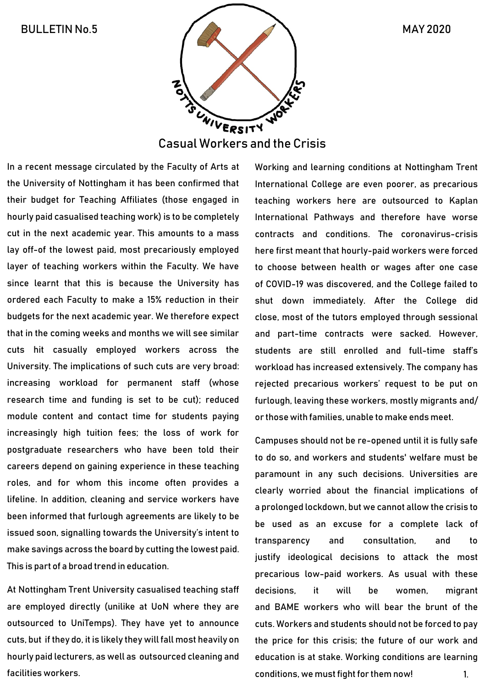

In a recent message circulated by the Faculty of Arts at the University of Nottingham it has been confirmed that their budget for Teaching Affiliates (those engaged in hourly paid casualised teaching work) is to be completely cut in the next academic year. This amounts to a mass lay off-of the lowest paid, most precariously employed layer of teaching workers within the Faculty. We have since learnt that this is because the University has ordered each Faculty to make a 15% reduction in their budgets for the next academic year. We therefore expect that in the coming weeks and months we will see similar cuts hit casually employed workers across the University. The implications of such cuts are very broad: increasing workload for permanent staff (whose research time and funding is set to be cut); reduced module content and contact time for students paying increasingly high tuition fees; the loss of work for postgraduate researchers who have been told their careers depend on gaining experience in these teaching roles, and for whom this income often provides a lifeline. In addition, cleaning and service workers have been informed that furlough agreements are likely to be issued soon, signalling towards the University's intent to make savings across the board by cutting the lowest paid. This is part of a broad trend in education.

At Nottingham Trent University casualised teaching staff are employed directly (unilike at UoN where they are outsourced to UniTemps). They have yet to announce cuts, but if they do, it is likely they will fall most heavily on hourly paid lecturers, as well as outsourced cleaning and facilities workers.

Working and learning conditions at Nottingham Trent International College are even poorer, as precarious teaching workers here are outsourced to Kaplan International Pathways and therefore have worse contracts and conditions. The coronavirus-crisis here first meant that hourly-paid workers were forced to choose between health or wages after one case of COVID-19 was discovered, and the College failed to shut down immediately. After the College did close, most of the tutors employed through sessional and part-time contracts were sacked. However, students are still enrolled and full-time staff's workload has increased extensively. The company has rejected precarious workers' request to be put on furlough, leaving these workers, mostly migrants and/ or thosewith families, unable to make ends meet.

Campuses should not be re-opened until it is fully safe to do so, and workers and students' welfare must be paramount in any such decisions. Universities are clearly worried about the financial implications of a prolonged lockdown, but we cannot allow the crisis to be used as an excuse for a complete lack of transparency and consultation, and to justify ideological decisions to attack the most precarious low-paid workers. As usual with these decisions, it will be women, migrant and BAME workers who will bear the brunt of the cuts. Workers and students should not be forced to pay the price for this crisis; the future of our work and education is at stake. Working conditions are learning conditions, we must fight for them now! 1.